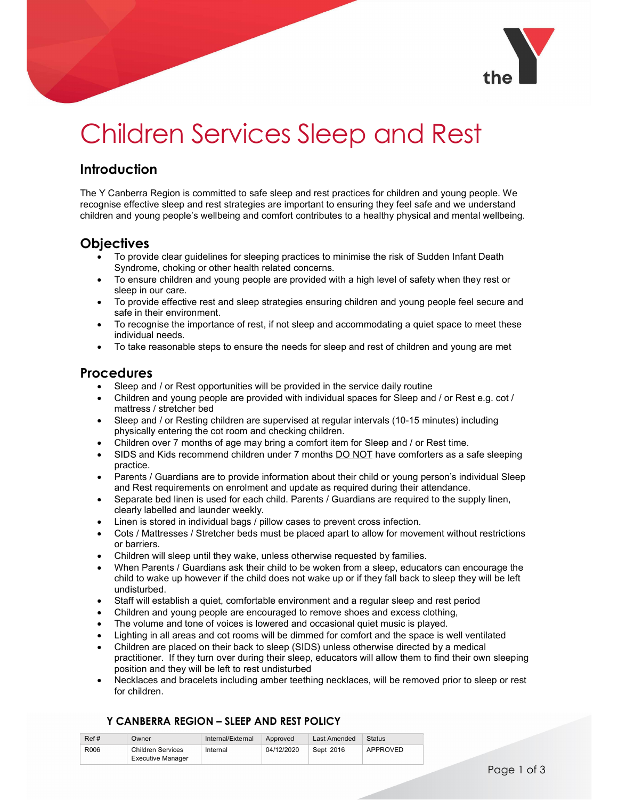

# Children Services Sleep and Rest

# **Introduction**

The Y Canberra Region is committed to safe sleep and rest practices for children and young people. We recognise effective sleep and rest strategies are important to ensuring they feel safe and we understand children and young people's wellbeing and comfort contributes to a healthy physical and mental wellbeing.

## **Objectives**

- To provide clear guidelines for sleeping practices to minimise the risk of Sudden Infant Death Syndrome, choking or other health related concerns.
- To ensure children and young people are provided with a high level of safety when they rest or sleep in our care.
- To provide effective rest and sleep strategies ensuring children and young people feel secure and safe in their environment.
- To recognise the importance of rest, if not sleep and accommodating a quiet space to meet these individual needs.
- To take reasonable steps to ensure the needs for sleep and rest of children and young are met

### **Procedures**

- Sleep and / or Rest opportunities will be provided in the service daily routine
- Children and young people are provided with individual spaces for Sleep and / or Rest e.g. cot / mattress / stretcher bed
- Sleep and / or Resting children are supervised at regular intervals (10-15 minutes) including physically entering the cot room and checking children.
- Children over 7 months of age may bring a comfort item for Sleep and / or Rest time.
- SIDS and Kids recommend children under 7 months DO NOT have comforters as a safe sleeping practice.
- Parents / Guardians are to provide information about their child or young person's individual Sleep and Rest requirements on enrolment and update as required during their attendance.
- Separate bed linen is used for each child. Parents / Guardians are required to the supply linen, clearly labelled and launder weekly.
- Linen is stored in individual bags / pillow cases to prevent cross infection.
- Cots / Mattresses / Stretcher beds must be placed apart to allow for movement without restrictions or barriers.
- Children will sleep until they wake, unless otherwise requested by families.
- When Parents / Guardians ask their child to be woken from a sleep, educators can encourage the child to wake up however if the child does not wake up or if they fall back to sleep they will be left undisturbed.
- Staff will establish a quiet, comfortable environment and a regular sleep and rest period
- Children and young people are encouraged to remove shoes and excess clothing,
- The volume and tone of voices is lowered and occasional quiet music is played.
- Lighting in all areas and cot rooms will be dimmed for comfort and the space is well ventilated
- Children are placed on their back to sleep (SIDS) unless otherwise directed by a medical practitioner. If they turn over during their sleep, educators will allow them to find their own sleeping position and they will be left to rest undisturbed
- Necklaces and bracelets including amber teething necklaces, will be removed prior to sleep or rest for children.

#### Y CANBERRA REGION – SLEEP AND REST POLICY

| Ref# | Jwner                    | Internal/External | Approved   | Last Amended | Status   |
|------|--------------------------|-------------------|------------|--------------|----------|
| R006 | Children Services        | Internal          | 04/12/2020 | Sept 2016    | APPROVED |
|      | <b>Executive Manager</b> |                   |            |              |          |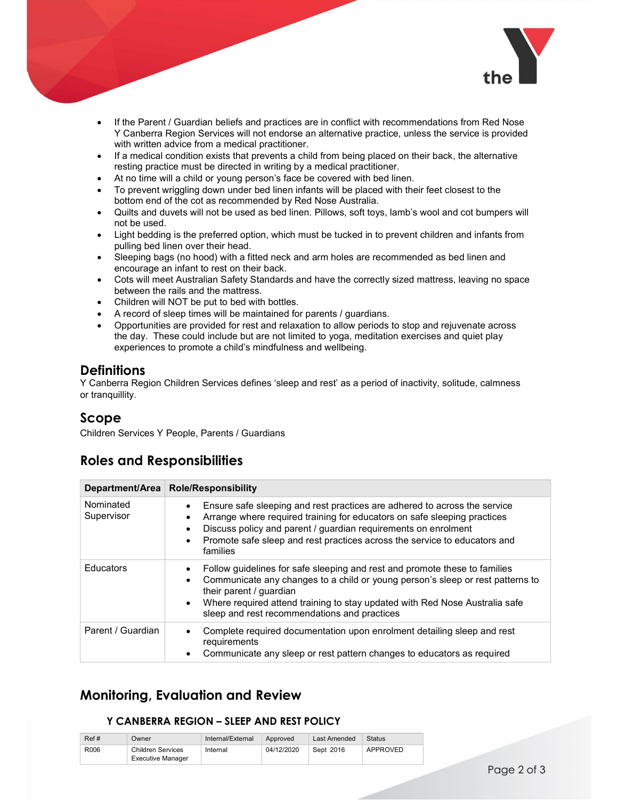

- If the Parent / Guardian beliefs and practices are in conflict with recommendations from Red Nose Y Canberra Region Services will not endorse an alternative practice, unless the service is provided with written advice from a medical practitioner.
- If a medical condition exists that prevents a child from being placed on their back, the alternative resting practice must be directed in writing by a medical practitioner.
- At no time will a child or young person's face be covered with bed linen.
- To prevent wriggling down under bed linen infants will be placed with their feet closest to the bottom end of the cot as recommended by Red Nose Australia.
- Quilts and duvets will not be used as bed linen. Pillows, soft toys, lamb's wool and cot bumpers will not be used.
- Light bedding is the preferred option, which must be tucked in to prevent children and infants from pulling bed linen over their head.
- Sleeping bags (no hood) with a fitted neck and arm holes are recommended as bed linen and encourage an infant to rest on their back.
- Cots will meet Australian Safety Standards and have the correctly sized mattress, leaving no space between the rails and the mattress.
- Children will NOT be put to bed with bottles.
- A record of sleep times will be maintained for parents / guardians.
- Opportunities are provided for rest and relaxation to allow periods to stop and rejuvenate across the day. These could include but are not limited to yoga, meditation exercises and quiet play experiences to promote a child's mindfulness and wellbeing.

### **Definitions**

Y Canberra Region Children Services defines 'sleep and rest' as a period of inactivity, solitude, calmness or tranquillity.

## Scope

Children Services Y People, Parents / Guardians

# Roles and Responsibilities

|                         | Department/Area   Role/Responsibility                                                                                                                                                                                                                                                                                                                                |
|-------------------------|----------------------------------------------------------------------------------------------------------------------------------------------------------------------------------------------------------------------------------------------------------------------------------------------------------------------------------------------------------------------|
| Nominated<br>Supervisor | Ensure safe sleeping and rest practices are adhered to across the service<br>$\bullet$<br>Arrange where required training for educators on safe sleeping practices<br>$\bullet$<br>Discuss policy and parent / guardian requirements on enrolment<br>$\bullet$<br>Promote safe sleep and rest practices across the service to educators and<br>$\bullet$<br>families |
| Educators               | Follow guidelines for safe sleeping and rest and promote these to families<br>$\bullet$<br>Communicate any changes to a child or young person's sleep or rest patterns to<br>their parent / guardian<br>Where required attend training to stay updated with Red Nose Australia safe<br>$\bullet$<br>sleep and rest recommendations and practices                     |
| Parent / Guardian       | Complete required documentation upon enrolment detailing sleep and rest<br>٠<br>requirements<br>Communicate any sleep or rest pattern changes to educators as required<br>٠                                                                                                                                                                                          |

# Monitoring, Evaluation and Review

#### Y CANBERRA REGION – SLEEP AND REST POLICY

| Ref# | Jwner                                  | Internal/External | Approved   | Last Amended | Status   |
|------|----------------------------------------|-------------------|------------|--------------|----------|
| R006 | Children Services<br>Executive Manager | Internal          | 04/12/2020 | Sept 2016    | APPROVED |